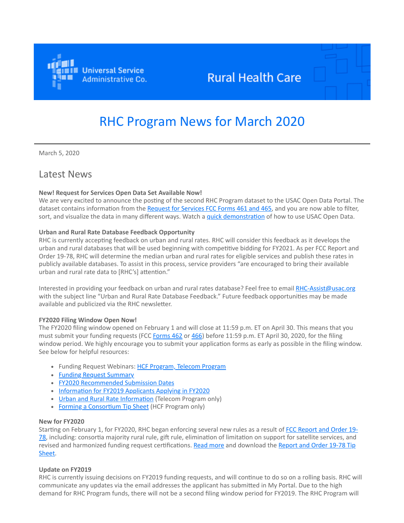

# **Rural Health Care**

# RHC Program News for March 2020

March 5, 2020

# Latest News

#### **New! Request for Services Open Data Set Available Now!**

We are very excited to announce the posting of the second RHC Program dataset to the USAC Open Data Portal. The dataset contains information from the [Request for Services FCC Forms 461 and 465,](https://click.outreach.usac.org/?qs=354197b9c7026699b3caa4157661de632600d7bd02df15420103c09995d8fc20451f5324892f51692595605aa2935948440227fe0cd9c871) and you are now able to filter, sort, and visualize the data in many different ways. Watch a *quick demonstration* of how to use USAC Open Data.

#### **Urban and Rural Rate Database Feedback Opportunity**

RHC is currently accepting feedback on urban and rural rates. RHC will consider this feedback as it develops the urban and rural databases that will be used beginning with competitive bidding for FY2021. As per FCC Report and Order 19-78, RHC will determine the median urban and rural rates for eligible services and publish these rates in publicly available databases. To assist in this process, service providers "are encouraged to bring their available urban and rural rate data to [RHC's] attention."

Interested in providing your feedback on urban and rural rates database? Feel free to email [RHC-Assist@usac.org](mailto:RHC-Assist@usac.org?subject=Urban%20and%20Rural%20Rate%20Database%20Feedback) with the subject line "Urban and Rural Rate Database Feedback." Future feedback opportunities may be made available and publicized via the RHC newsletter.

#### **FY2020 Filing Window Open Now!**

The FY2020 filing window opened on February 1 and will close at 11:59 p.m. ET on April 30. This means that you must submit your funding requests (FCC [Forms 462](https://click.outreach.usac.org/?qs=354197b9c702669986c3ad04518b8cab21d080729c2021a7dbf650063f0345b5f6d83ebf830da72c43e8d23772633c0e8739301fcea1ceae) or [466](https://click.outreach.usac.org/?qs=354197b9c70266995c14dfe1ad05a1826fe0f6f74ee4fd29a77fb70002569b1770665b58b6bde2d82c8536277bc19a2c16270fadc0f98617)) before 11:59 p.m. ET April 30, 2020, for the filing window period. We highly encourage you to submit your application forms as early as possible in the filing window. See below for helpful resources:

- Funding Request Webinars: [HCF Program, Telecom Program](https://click.outreach.usac.org/?qs=354197b9c70266999a511a0aaa9f335f6dc38ed1b4719943a3aab6e053eb9648be8f82eac376c4da635fd49516c3c350e0f1ce2acaa68229)
- [Funding Request Summary](https://click.outreach.usac.org/?qs=354197b9c70266993f15ab6f11822196dbe3f4225d2327f2020267a38c9a103b02a5db10b6dae2034ee1067b62815142f9c0447b5fd464aa)
- [FY2020 Recommended Submission Dates](https://click.outreach.usac.org/?qs=354197b9c70266996f3cdec2716b227d34e5902f7a724f308e9380cfd875a45677e5cae855774428afeaf67f09f8dc86c3a1d2cc408da0fb)
- [Information for FY2019 Applicants Applying in FY2020](https://click.outreach.usac.org/?qs=354197b9c70266994b2e01f8d9cf584f6a072ad079c3b339aee6a2a4adcbead96655faa6e1109d133ca9834fd2de33e4ef2e0d0d547e3979)
- [Urban and Rural Rate Information](https://click.outreach.usac.org/?qs=354197b9c70266992f12b3fdd21d73644ee30412166337b23c8fe3e76a8f8084c7b9e44c83c98b31f0866201ad71b6ade5402cb5f9bb0ef0) (Telecom Program only)
- [Forming a Consortium Tip Sheet](https://click.outreach.usac.org/?qs=354197b9c7026699c60197babcec7a12f850f90e6c88acf6c8b167bb678b30c953b0aa6b8a5e96982bd2be58bcb0d757de8fd687a39c32d6) (HCF Program only)

#### **New for FY2020**

[Starting on February 1, for FY2020, RHC began enforcing several new rules as a result of FCC Report and Order 19-](https://click.outreach.usac.org/?qs=354197b9c7026699a30da1207ecbe693e12cb5863b20ed7646ba839372e7896699458941f7f9508a5c1fdf045e98173f97e13e26c2489239) 78, including: consortia majority rural rule, gift rule, elimination of limitation on support for satellite services, and [revised and harmonized funding request certifications. R](https://click.outreach.usac.org/?qs=354197b9c7026699f82c5de4f29ad5fbbcc31b81ae1e6ef7eb47a5840f385938064ae301f3ee972b84ef0952fa2da16383b17dd30638c54f)[ead more](https://click.outreach.usac.org/?qs=354197b9c7026699aee254ebe9800d77d2bbac7d870f99d04fedfc09b04bad97df92b08595e43d60119207626e051f1a0ace82b264318ef4) [and download the Report and Order 19-78 Tip](https://click.outreach.usac.org/?qs=354197b9c7026699f82c5de4f29ad5fbbcc31b81ae1e6ef7eb47a5840f385938064ae301f3ee972b84ef0952fa2da16383b17dd30638c54f) Sheet.

## **Update on FY2019**

RHC is currently issuing decisions on FY2019 funding requests, and will continue to do so on a rolling basis. RHC will communicate any updates via the email addresses the applicant has submitted in My Portal. Due to the high demand for RHC Program funds, there will not be a second filing window period for FY2019. The RHC Program will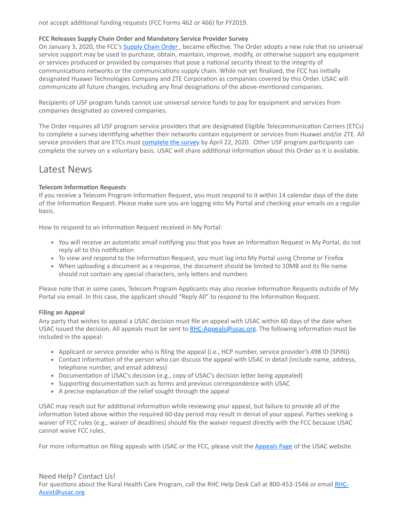not accept additional funding requests (FCC Forms 462 or 466) for FY2019.

#### **FCC Releases Supply Chain Order and Mandatory Service Provider Survey**

On January 3, 2020, the FCC's [Supply Chain Order](https://click.outreach.usac.org/?qs=354197b9c70266994c97c447bd144cf4f89bd52b6070f618a5d7d6b382b202e074ce2fec3be7391eb171226858af95b90eae25799ffdb3ab), became effective. The Order adopts a new rule that no universal service support may be used to purchase, obtain, maintain, improve, modify, or otherwise support any equipment or services produced or provided by companies that pose a national security threat to the integrity of communications networks or the communications supply chain. While not yet finalized, the FCC has initially designated Huawei Technologies Company and ZTE Corporation as companies covered by this Order. USAC will communicate all future changes, including any final designations of the above-mentioned companies.

Recipients of USF program funds cannot use universal service funds to pay for equipment and services from companies designated as covered companies.

The Order requires all USF program service providers that are designated Eligible Telecommunication Carriers (ETCs) to complete a survey identifying whether their networks contain equipment or services from Huawei and/or ZTE. All service providers that are ETCs must [complete the survey](https://click.outreach.usac.org/?qs=354197b9c70266996c709ec472e1cab4d50698f87b93d3023bada8829f0822c0ba5765b13c2db3ec07f2980afa73bbcd6d31388495df2791) by April 22, 2020. Other USF program participants can complete the survey on a voluntary basis. USAC will share additional information about this Order as it is available.

# Latest News

## **Telecom Information Requests**

If you receive a Telecom Program Information Request, you must respond to it within 14 calendar days of the date of the Information Request. Please make sure you are logging into My Portal and checking your emails on a regular basis.

How to respond to an Information Request received in My Portal:

- You will receive an automatic email notifying you that you have an Information Request in My Portal, do not reply all to this notification
- To view and respond to the Information Request, you must log into My Portal using Chrome or Firefox
- When uploading a document as a response, the document should be limited to 10MB and its file name should not contain any special characters, only letters and numbers

Please note that in some cases, Telecom Program Applicants may also receive Information Requests outside of My Portal via email. In this case, the applicant should "Reply All" to respond to the Information Request.

## **Filing an Appeal**

Any party that wishes to appeal a USAC decision must file an appeal with USAC within 60 days of the date when USAC issued the decision. All appeals must be sent to  $R$ HC-Appeals@usac.org. The following information must be included in the appeal:

- Applicant or service provider who is filing the appeal (i.e., HCP number, service provider's 498 ID (SPIN))
- Contact information of the person who can discuss the appeal with USAC in detail (include name, address, telephone number, and email address)
- Documentation of USAC's decision (e.g., copy of USAC's decision letter being appealed)
- Supporting documentation such as forms and previous correspondence with USAC
- A precise explanation of the relief sought through the appeal

USAC may reach out for additional information while reviewing your appeal, but failure to provide all of the information listed above within the required 60-day period may result in denial of your appeal. Parties seeking a waiver of FCC rules (e.g., waiver of deadlines) should file the waiver request directly with the FCC because USAC cannot waive FCC rules.

For more information on filing appeals with USAC or the FCC, please visit the [Appeals Page](https://click.outreach.usac.org/?qs=354197b9c702669919d5325193050369f2d2b35354f84a3ac7ff2a6ea5565220146dac658963310bdd1f86734615b74ecc816c3a1caf390b) of the USAC website.

## Need Help? Contact Us!

[For questions about the Rural Health Care Program, call](mailto:RHC-Assist@usac.org?subject=) the RHC Help Desk Call at 800-453-1546 or email RHC-Assist@usac.org.